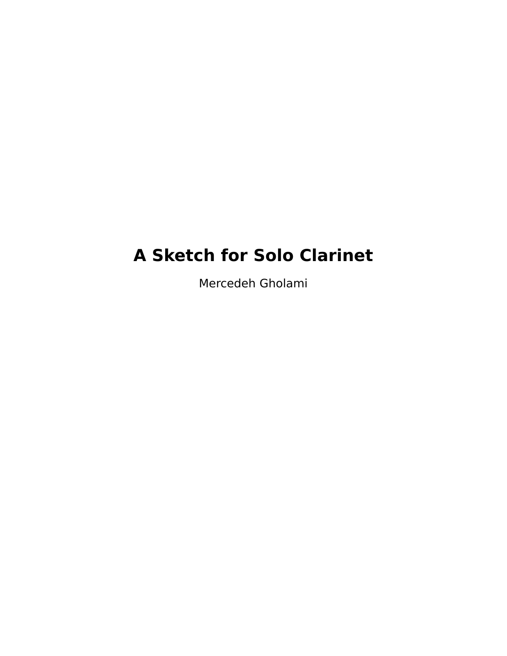## **A Sketch for Solo Clarinet**

Mercedeh Gholami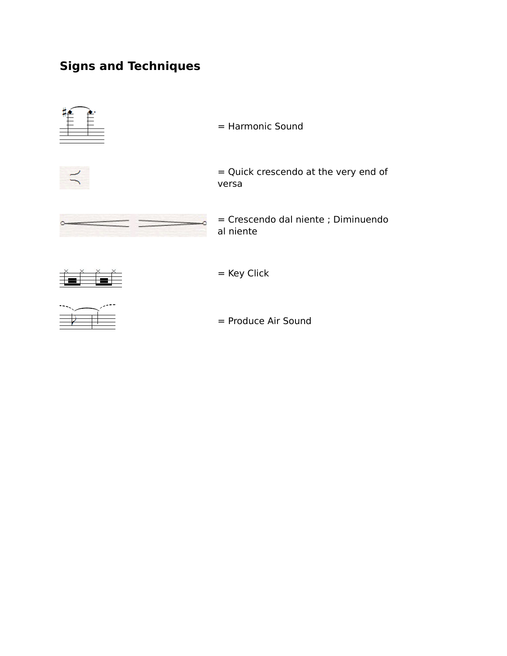## **Signs and Techniques**



= Produce Air Sound

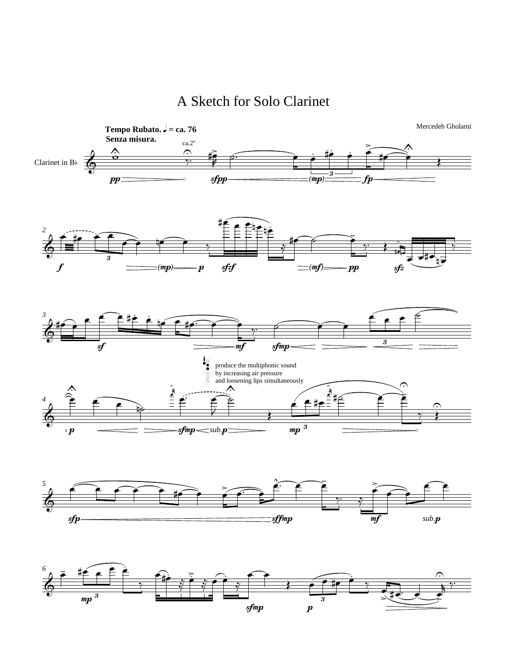A Sketch for Solo Clarinet





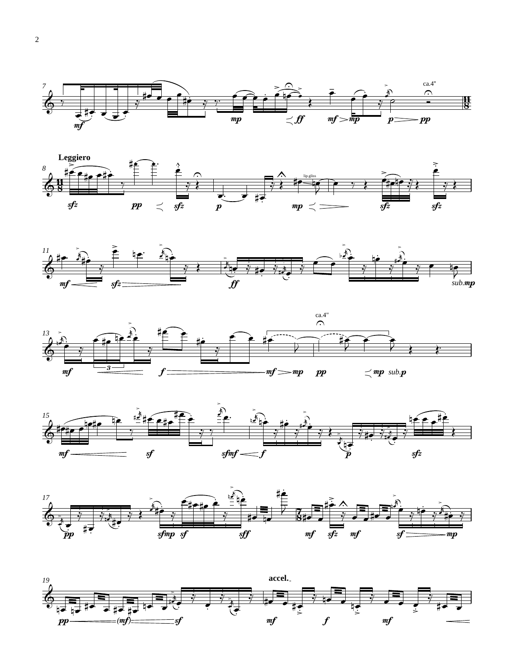